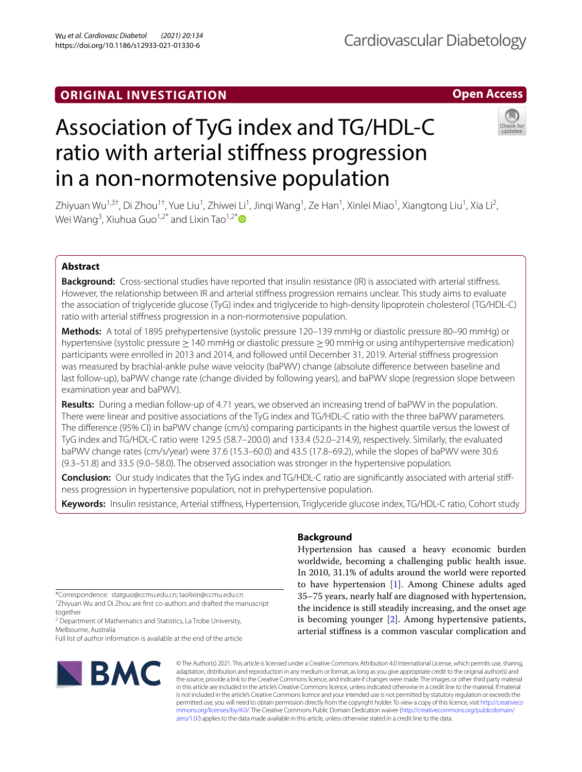# Association of TyG index and TG/HDL-C

Zhiyuan Wu<sup>1,3†</sup>, Di Zhou<sup>1†</sup>, Yue Liu<sup>1</sup>, Zhiwei Li<sup>1</sup>, Jinqi Wang<sup>1</sup>, Ze Han<sup>1</sup>, Xinlei Miao<sup>1</sup>, Xiangtong Liu<sup>1</sup>, Xia Li<sup>2</sup>, Wei Wang<sup>3</sup>, Xiuhua Guo<sup>1,2[\\*](http://orcid.org/0000-0002-2135-046X)</sup> and Lixin Tao<sup>1,2\*</sup>

ratio with arterial stifness progression

in a non-normotensive population

# **Abstract**

**Background:** Cross-sectional studies have reported that insulin resistance (IR) is associated with arterial stifness. However, the relationship between IR and arterial stifness progression remains unclear. This study aims to evaluate the association of triglyceride glucose (TyG) index and triglyceride to high-density lipoprotein cholesterol (TG/HDL-C) ratio with arterial stifness progression in a non-normotensive population.

**Methods:** A total of 1895 prehypertensive (systolic pressure 120–139 mmHg or diastolic pressure 80–90 mmHg) or hypertensive (systolic pressure ≥140 mmHg or diastolic pressure ≥90 mmHg or using antihypertensive medication) participants were enrolled in 2013 and 2014, and followed until December 31, 2019. Arterial stifness progression was measured by brachial-ankle pulse wave velocity (baPWV) change (absolute diference between baseline and last follow-up), baPWV change rate (change divided by following years), and baPWV slope (regression slope between examination year and baPWV).

**Results:** During a median follow-up of 4.71 years, we observed an increasing trend of baPWV in the population. There were linear and positive associations of the TyG index and TG/HDL-C ratio with the three baPWV parameters. The diference (95% CI) in baPWV change (cm/s) comparing participants in the highest quartile versus the lowest of TyG index and TG/HDL-C ratio were 129.5 (58.7–200.0) and 133.4 (52.0–214.9), respectively. Similarly, the evaluated baPWV change rates (cm/s/year) were 37.6 (15.3–60.0) and 43.5 (17.8–69.2), while the slopes of baPWV were 30.6 (9.3–51.8) and 33.5 (9.0–58.0). The observed association was stronger in the hypertensive population.

**Conclusion:** Our study indicates that the TyG index and TG/HDL-C ratio are signifcantly associated with arterial stifness progression in hypertensive population, not in prehypertensive population.

**Keywords:** Insulin resistance, Arterial stifness, Hypertension, Triglyceride glucose index, TG/HDL-C ratio, Cohort study

\*Correspondence: statguo@ccmu.edu.cn; taolixin@ccmu.edu.cn † Zhiyuan Wu and Di Zhou are frst co-authors and drafted the manuscript

together <sup>2</sup> Department of Mathematics and Statistics, La Trobe University, Melbourne, Australia

Full list of author information is available at the end of the article



# **Background**

Hypertension has caused a heavy economic burden worldwide, becoming a challenging public health issue. In 2010, 31.1% of adults around the world were reported to have hypertension [[1](#page-9-0)]. Among Chinese adults aged 35–75 years, nearly half are diagnosed with hypertension, the incidence is still steadily increasing, and the onset age is becoming younger [\[2](#page-9-1)]. Among hypertensive patients, arterial stifness is a common vascular complication and

**Open Access**



© The Author(s) 2021. This article is licensed under a Creative Commons Attribution 4.0 International License, which permits use, sharing, adaptation, distribution and reproduction in any medium or format, as long as you give appropriate credit to the original author(s) and the source, provide a link to the Creative Commons licence, and indicate if changes were made. The images or other third party material in this article are included in the article's Creative Commons licence, unless indicated otherwise in a credit line to the material. If material is not included in the article's Creative Commons licence and your intended use is not permitted by statutory regulation or exceeds the permitted use, you will need to obtain permission directly from the copyright holder. To view a copy of this licence, visit [http://creativeco](http://creativecommons.org/licenses/by/4.0/) [mmons.org/licenses/by/4.0/.](http://creativecommons.org/licenses/by/4.0/) The Creative Commons Public Domain Dedication waiver ([http://creativecommons.org/publicdomain/](http://creativecommons.org/publicdomain/zero/1.0/) [zero/1.0/\)](http://creativecommons.org/publicdomain/zero/1.0/) applies to the data made available in this article, unless otherwise stated in a credit line to the data.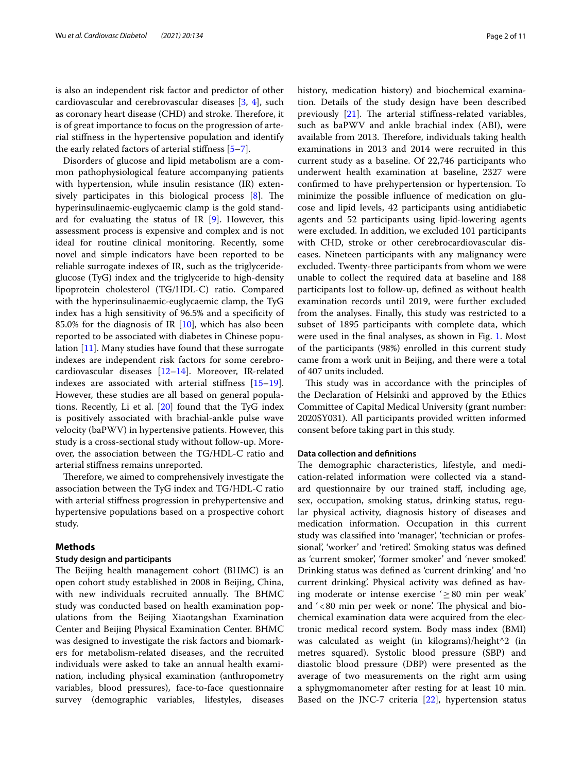is also an independent risk factor and predictor of other cardiovascular and cerebrovascular diseases [[3,](#page-9-2) [4\]](#page-9-3), such as coronary heart disease (CHD) and stroke. Therefore, it is of great importance to focus on the progression of arterial stifness in the hypertensive population and identify the early related factors of arterial stifness [\[5](#page-9-4)[–7](#page-9-5)].

Disorders of glucose and lipid metabolism are a common pathophysiological feature accompanying patients with hypertension, while insulin resistance (IR) extensively participates in this biological process  $[8]$  $[8]$ . The hyperinsulinaemic-euglycaemic clamp is the gold standard for evaluating the status of IR  $[9]$  $[9]$ . However, this assessment process is expensive and complex and is not ideal for routine clinical monitoring. Recently, some novel and simple indicators have been reported to be reliable surrogate indexes of IR, such as the triglycerideglucose (TyG) index and the triglyceride to high-density lipoprotein cholesterol (TG/HDL-C) ratio. Compared with the hyperinsulinaemic-euglycaemic clamp, the TyG index has a high sensitivity of 96.5% and a specifcity of 85.0% for the diagnosis of IR [\[10](#page-9-8)], which has also been reported to be associated with diabetes in Chinese population [[11\]](#page-9-9). Many studies have found that these surrogate indexes are independent risk factors for some cerebrocardiovascular diseases [[12](#page-9-10)[–14](#page-9-11)]. Moreover, IR-related indexes are associated with arterial stifness [[15](#page-9-12)[–19](#page-9-13)]. However, these studies are all based on general populations. Recently, Li et al. [\[20](#page-9-14)] found that the TyG index is positively associated with brachial-ankle pulse wave velocity (baPWV) in hypertensive patients. However, this study is a cross-sectional study without follow-up. Moreover, the association between the TG/HDL-C ratio and arterial stifness remains unreported.

Therefore, we aimed to comprehensively investigate the association between the TyG index and TG/HDL-C ratio with arterial stifness progression in prehypertensive and hypertensive populations based on a prospective cohort study.

## **Methods**

## **Study design and participants**

The Beijing health management cohort (BHMC) is an open cohort study established in 2008 in Beijing, China, with new individuals recruited annually. The BHMC study was conducted based on health examination populations from the Beijing Xiaotangshan Examination Center and Beijing Physical Examination Center. BHMC was designed to investigate the risk factors and biomarkers for metabolism-related diseases, and the recruited individuals were asked to take an annual health examination, including physical examination (anthropometry variables, blood pressures), face-to-face questionnaire survey (demographic variables, lifestyles, diseases history, medication history) and biochemical examination. Details of the study design have been described previously  $[21]$ . The arterial stiffness-related variables, such as baPWV and ankle brachial index (ABI), were available from 2013. Therefore, individuals taking health examinations in 2013 and 2014 were recruited in this current study as a baseline. Of 22,746 participants who underwent health examination at baseline, 2327 were confrmed to have prehypertension or hypertension. To minimize the possible infuence of medication on glucose and lipid levels, 42 participants using antidiabetic agents and 52 participants using lipid-lowering agents were excluded. In addition, we excluded 101 participants with CHD, stroke or other cerebrocardiovascular diseases. Nineteen participants with any malignancy were excluded. Twenty-three participants from whom we were unable to collect the required data at baseline and 188 participants lost to follow-up, defned as without health examination records until 2019, were further excluded from the analyses. Finally, this study was restricted to a subset of 1895 participants with complete data, which were used in the fnal analyses, as shown in Fig. [1.](#page-2-0) Most of the participants (98%) enrolled in this current study came from a work unit in Beijing, and there were a total of 407 units included.

This study was in accordance with the principles of the Declaration of Helsinki and approved by the Ethics Committee of Capital Medical University (grant number: 2020SY031). All participants provided written informed consent before taking part in this study.

## **Data collection and defnitions**

The demographic characteristics, lifestyle, and medication-related information were collected via a standard questionnaire by our trained staf, including age, sex, occupation, smoking status, drinking status, regular physical activity, diagnosis history of diseases and medication information. Occupation in this current study was classifed into 'manager', 'technician or professional', 'worker' and 'retired'. Smoking status was defned as 'current smoker', 'former smoker' and 'never smoked'. Drinking status was defned as 'current drinking' and 'no current drinking'. Physical activity was defned as having moderate or intense exercise  $\geq 80$  min per weak' and '<80 min per week or none'. The physical and biochemical examination data were acquired from the electronic medical record system. Body mass index (BMI) was calculated as weight (in kilograms)/height^2 (in metres squared). Systolic blood pressure (SBP) and diastolic blood pressure (DBP) were presented as the average of two measurements on the right arm using a sphygmomanometer after resting for at least 10 min. Based on the JNC-7 criteria [[22\]](#page-10-1), hypertension status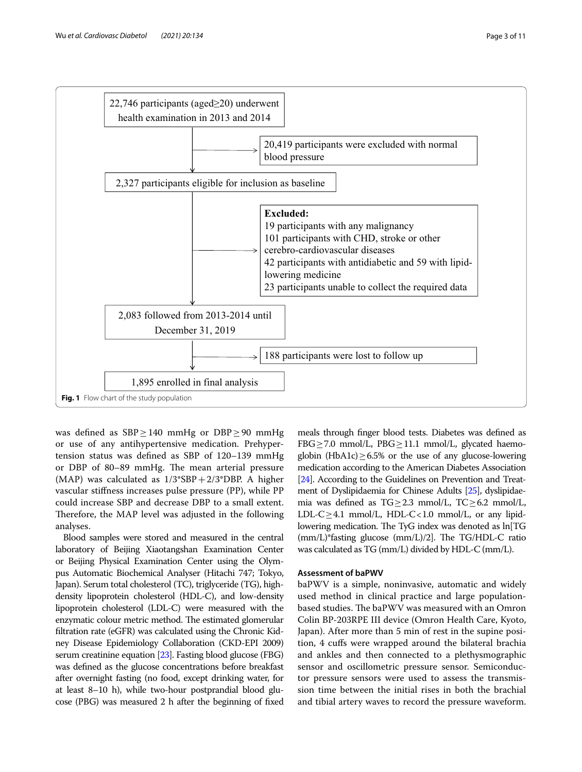

<span id="page-2-0"></span>was defined as SBP > 140 mmHg or DBP > 90 mmHg or use of any antihypertensive medication. Prehypertension status was defned as SBP of 120–139 mmHg or DBP of 80-89 mmHg. The mean arterial pressure (MAP) was calculated as 1/3\*SBP+2/3\*DBP. A higher vascular stifness increases pulse pressure (PP), while PP could increase SBP and decrease DBP to a small extent. Therefore, the MAP level was adjusted in the following analyses.

Blood samples were stored and measured in the central laboratory of Beijing Xiaotangshan Examination Center or Beijing Physical Examination Center using the Olympus Automatic Biochemical Analyser (Hitachi 747; Tokyo, Japan). Serum total cholesterol (TC), triglyceride (TG), highdensity lipoprotein cholesterol (HDL-C), and low-density lipoprotein cholesterol (LDL-C) were measured with the enzymatic colour metric method. The estimated glomerular fltration rate (eGFR) was calculated using the Chronic Kidney Disease Epidemiology Collaboration (CKD-EPI 2009) serum creatinine equation [\[23](#page-10-2)]. Fasting blood glucose (FBG) was defned as the glucose concentrations before breakfast after overnight fasting (no food, except drinking water, for at least 8–10 h), while two-hour postprandial blood glucose (PBG) was measured 2 h after the beginning of fxed

meals through fnger blood tests. Diabetes was defned as FBG $\geq$ 7.0 mmol/L, PBG $\geq$ 11.1 mmol/L, glycated haemoglobin (HbA1c) $\geq$ 6.5% or the use of any glucose-lowering medication according to the American Diabetes Association [[24](#page-10-3)]. According to the Guidelines on Prevention and Treatment of Dyslipidaemia for Chinese Adults [\[25](#page-10-4)], dyslipidaemia was defined as TG≥2.3 mmol/L, TC≥6.2 mmol/L, LDL-C $\geq$ 4.1 mmol/L, HDL-C $<$ 1.0 mmol/L, or any lipidlowering medication. The TyG index was denoted as ln[TG  $(mm/L)*fasting glucose (mm/L)/2$ ]. The TG/HDL-C ratio was calculated as TG (mm/L) divided by HDL-C (mm/L).

## **Assessment of baPWV**

baPWV is a simple, noninvasive, automatic and widely used method in clinical practice and large populationbased studies. The baPWV was measured with an Omron Colin BP-203RPE III device (Omron Health Care, Kyoto, Japan). After more than 5 min of rest in the supine position, 4 cufs were wrapped around the bilateral brachia and ankles and then connected to a plethysmographic sensor and oscillometric pressure sensor. Semiconductor pressure sensors were used to assess the transmission time between the initial rises in both the brachial and tibial artery waves to record the pressure waveform.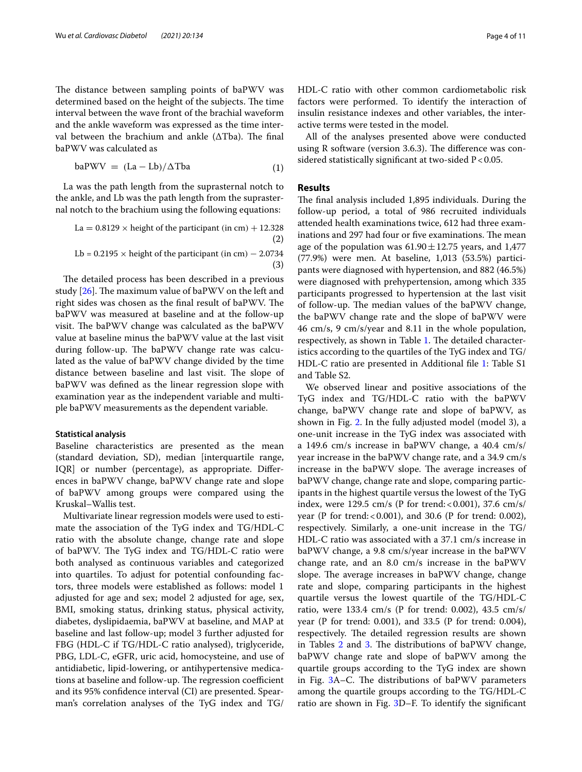The distance between sampling points of baPWV was determined based on the height of the subjects. The time interval between the wave front of the brachial waveform and the ankle waveform was expressed as the time interval between the brachium and ankle ( $\Delta$ Tba). The final baPWV was calculated as

$$
baPWV = (La - Lb)/\Delta Tba \tag{1}
$$

La was the path length from the suprasternal notch to the ankle, and Lb was the path length from the suprasternal notch to the brachium using the following equations:

- (2) La =  $0.8129 \times$  height of the participant (in cm) + 12.328
- (3) Lb =  $0.2195 \times$  height of the participant (in cm) – 2.0734

The detailed process has been described in a previous study  $[26]$  $[26]$ . The maximum value of baPWV on the left and right sides was chosen as the final result of baPWV. The baPWV was measured at baseline and at the follow-up visit. The baPWV change was calculated as the baPWV value at baseline minus the baPWV value at the last visit during follow-up. The baPWV change rate was calculated as the value of baPWV change divided by the time distance between baseline and last visit. The slope of baPWV was defned as the linear regression slope with examination year as the independent variable and multiple baPWV measurements as the dependent variable.

## **Statistical analysis**

Baseline characteristics are presented as the mean (standard deviation, SD), median [interquartile range, IQR] or number (percentage), as appropriate. Diferences in baPWV change, baPWV change rate and slope of baPWV among groups were compared using the Kruskal–Wallis test.

Multivariate linear regression models were used to estimate the association of the TyG index and TG/HDL-C ratio with the absolute change, change rate and slope of baPWV. The TyG index and TG/HDL-C ratio were both analysed as continuous variables and categorized into quartiles. To adjust for potential confounding factors, three models were established as follows: model 1 adjusted for age and sex; model 2 adjusted for age, sex, BMI, smoking status, drinking status, physical activity, diabetes, dyslipidaemia, baPWV at baseline, and MAP at baseline and last follow-up; model 3 further adjusted for FBG (HDL-C if TG/HDL-C ratio analysed), triglyceride, PBG, LDL-C, eGFR, uric acid, homocysteine, and use of antidiabetic, lipid-lowering, or antihypertensive medications at baseline and follow-up. The regression coefficient and its 95% confdence interval (CI) are presented. Spearman's correlation analyses of the TyG index and TG/ HDL-C ratio with other common cardiometabolic risk factors were performed. To identify the interaction of insulin resistance indexes and other variables, the interactive terms were tested in the model.

All of the analyses presented above were conducted using  $R$  software (version 3.6.3). The difference was considered statistically significant at two-sided  $P < 0.05$ .

## **Results**

The final analysis included 1,895 individuals. During the follow-up period, a total of 986 recruited individuals attended health examinations twice, 612 had three examinations and 297 had four or five examinations. The mean age of the population was  $61.90 \pm 12.75$  years, and 1,477 (77.9%) were men. At baseline, 1,013 (53.5%) participants were diagnosed with hypertension, and 882 (46.5%) were diagnosed with prehypertension, among which 335 participants progressed to hypertension at the last visit of follow-up. The median values of the baPWV change, the baPWV change rate and the slope of baPWV were 46 cm/s, 9 cm/s/year and 8.11 in the whole population, respectively, as shown in Table [1.](#page-4-0) The detailed characteristics according to the quartiles of the TyG index and TG/ HDL-C ratio are presented in Additional fle [1](#page-9-15): Table S1 and Table S2.

We observed linear and positive associations of the TyG index and TG/HDL-C ratio with the baPWV change, baPWV change rate and slope of baPWV, as shown in Fig. [2](#page-5-0). In the fully adjusted model (model 3), a one-unit increase in the TyG index was associated with a 149.6 cm/s increase in baPWV change, a 40.4 cm/s/ year increase in the baPWV change rate, and a 34.9 cm/s increase in the baPWV slope. The average increases of baPWV change, change rate and slope, comparing participants in the highest quartile versus the lowest of the TyG index, were 129.5 cm/s (P for trend:<0.001), 37.6 cm/s/ year (P for trend:<0.001), and 30.6 (P for trend: 0.002), respectively. Similarly, a one-unit increase in the TG/ HDL-C ratio was associated with a 37.1 cm/s increase in baPWV change, a 9.8 cm/s/year increase in the baPWV change rate, and an 8.0 cm/s increase in the baPWV slope. The average increases in baPWV change, change rate and slope, comparing participants in the highest quartile versus the lowest quartile of the TG/HDL-C ratio, were 133.4 cm/s (P for trend: 0.002), 43.5 cm/s/ year (P for trend: 0.001), and 33.5 (P for trend: 0.004), respectively. The detailed regression results are shown in Tables [2](#page-6-0) and [3.](#page-6-1) The distributions of baPWV change, baPWV change rate and slope of baPWV among the quartile groups according to the TyG index are shown in Fig.  $3A-C$  $3A-C$ . The distributions of baPWV parameters among the quartile groups according to the TG/HDL-C ratio are shown in Fig. [3D](#page-7-0)–F. To identify the signifcant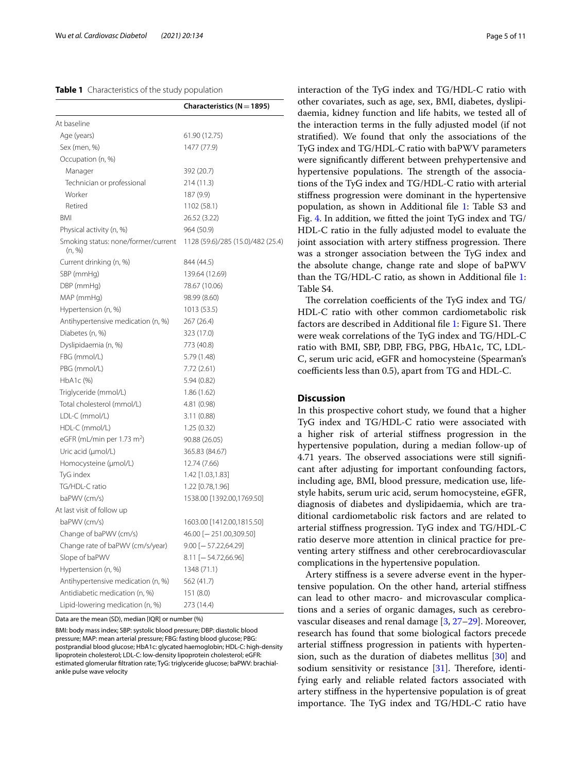## <span id="page-4-0"></span>**Table 1** Characteristics of the study population

|                                               | Characteristics ( $N = 1895$ )    |
|-----------------------------------------------|-----------------------------------|
| At baseline                                   |                                   |
| Age (years)                                   | 61.90 (12.75)                     |
| Sex (men, %)                                  | 1477 (77.9)                       |
| Occupation (n, %)                             |                                   |
| Manager                                       | 392 (20.7)                        |
| Technician or professional                    | 214 (11.3)                        |
| Worker                                        | 187 (9.9)                         |
| Retired                                       | 1102 (58.1)                       |
| BMI                                           | 26.52 (3.22)                      |
| Physical activity (n, %)                      | 964 (50.9)                        |
| Smoking status: none/former/current<br>(n, %) | 1128 (59.6)/285 (15.0)/482 (25.4) |
| Current drinking (n, %)                       | 844 (44.5)                        |
| SBP (mmHg)                                    | 139.64 (12.69)                    |
| DBP (mmHg)                                    | 78.67 (10.06)                     |
| MAP (mmHg)                                    | 98.99 (8.60)                      |
| Hypertension (n, %)                           | 1013 (53.5)                       |
| Antihypertensive medication (n, %)            | 267 (26.4)                        |
| Diabetes (n, %)                               | 323 (17.0)                        |
| Dyslipidaemia (n, %)                          | 773 (40.8)                        |
| FBG (mmol/L)                                  | 5.79 (1.48)                       |
| PBG (mmol/L)                                  | 7.72 (2.61)                       |
| $HbA1c$ $%$                                   | 5.94(0.82)                        |
| Triglyceride (mmol/L)                         | 1.86(1.62)                        |
| Total cholesterol (mmol/L)                    | 4.81 (0.98)                       |
| LDL-C (mmol/L)                                | 3.11(0.88)                        |
| HDL-C (mmol/L)                                | 1.25(0.32)                        |
| eGFR (mL/min per 1.73 m <sup>2</sup> )        | 90.88 (26.05)                     |
| Uric acid (µmol/L)                            | 365.83 (84.67)                    |
| Homocysteine (µmol/L)                         | 12.74 (7.66)                      |
| TyG index                                     | 1.42 [1.03,1.83]                  |
| TG/HDL-C ratio                                | 1.22 [0.78,1.96]                  |
| baPWV (cm/s)                                  | 1538.00 [1392.00,1769.50]         |
| At last visit of follow up                    |                                   |
| baPWV (cm/s)                                  | 1603.00 [1412.00,1815.50]         |
| Change of baPWV (cm/s)                        | 46.00 [-251.00,309.50]            |
| Change rate of baPWV (cm/s/year)              | 9.00 [— 57.22,64.29]              |
| Slope of baPWV                                | $8.11$ [-54.72,66.96]             |
| Hypertension (n, %)                           | 1348 (71.1)                       |
| Antihypertensive medication (n, %)            | 562 (41.7)                        |
| Antidiabetic medication (n, %)                | 151 (8.0)                         |
| Lipid-lowering medication (n, %)              | 273 (14.4)                        |

Data are the mean (SD), median [IQR] or number (%)

BMI: body mass index; SBP: systolic blood pressure; DBP: diastolic blood pressure; MAP: mean arterial pressure; FBG: fasting blood glucose; PBG: postprandial blood glucose; HbA1c: glycated haemoglobin; HDL-C: high-density lipoprotein cholesterol; LDL-C: low-density lipoprotein cholesterol; eGFR: estimated glomerular fltration rate; TyG: triglyceride glucose; baPWV: brachialankle pulse wave velocity

interaction of the TyG index and TG/HDL-C ratio with other covariates, such as age, sex, BMI, diabetes, dyslipidaemia, kidney function and life habits, we tested all of the interaction terms in the fully adjusted model (if not stratifed). We found that only the associations of the TyG index and TG/HDL-C ratio with baPWV parameters were signifcantly diferent between prehypertensive and hypertensive populations. The strength of the associations of the TyG index and TG/HDL-C ratio with arterial stifness progression were dominant in the hypertensive population, as shown in Additional fle [1:](#page-9-15) Table S3 and Fig. [4](#page-8-0). In addition, we ftted the joint TyG index and TG/ HDL-C ratio in the fully adjusted model to evaluate the joint association with artery stiffness progression. There was a stronger association between the TyG index and the absolute change, change rate and slope of baPWV than the TG/HDL-C ratio, as shown in Additional fle [1](#page-9-15): Table S4.

The correlation coefficients of the TyG index and TG/ HDL-C ratio with other common cardiometabolic risk factors are described in Additional file [1:](#page-9-15) Figure S1. There were weak correlations of the TyG index and TG/HDL-C ratio with BMI, SBP, DBP, FBG, PBG, HbA1c, TC, LDL-C, serum uric acid, eGFR and homocysteine (Spearman's coefficients less than 0.5), apart from TG and HDL-C.

## **Discussion**

In this prospective cohort study, we found that a higher TyG index and TG/HDL-C ratio were associated with a higher risk of arterial stifness progression in the hypertensive population, during a median follow-up of 4.71 years. The observed associations were still significant after adjusting for important confounding factors, including age, BMI, blood pressure, medication use, lifestyle habits, serum uric acid, serum homocysteine, eGFR, diagnosis of diabetes and dyslipidaemia, which are traditional cardiometabolic risk factors and are related to arterial stifness progression. TyG index and TG/HDL-C ratio deserve more attention in clinical practice for preventing artery stifness and other cerebrocardiovascular complications in the hypertensive population.

Artery stifness is a severe adverse event in the hypertensive population. On the other hand, arterial stifness can lead to other macro- and microvascular complications and a series of organic damages, such as cerebrovascular diseases and renal damage [[3,](#page-9-2) [27](#page-10-6)[–29\]](#page-10-7). Moreover, research has found that some biological factors precede arterial stifness progression in patients with hypertension, such as the duration of diabetes mellitus [[30\]](#page-10-8) and sodium sensitivity or resistance  $[31]$  $[31]$ . Therefore, identifying early and reliable related factors associated with artery stifness in the hypertensive population is of great importance. The TyG index and TG/HDL-C ratio have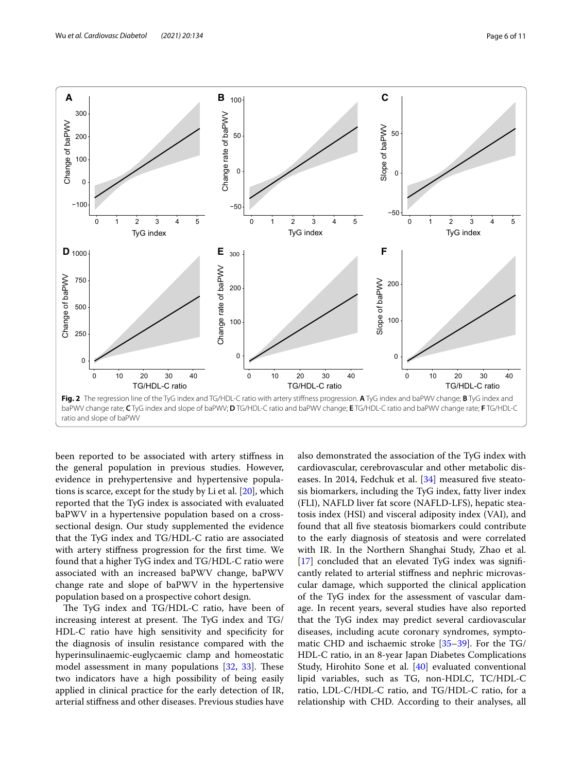

<span id="page-5-0"></span>been reported to be associated with artery stifness in the general population in previous studies. However, evidence in prehypertensive and hypertensive populations is scarce, except for the study by Li et al. [\[20](#page-9-14)], which reported that the TyG index is associated with evaluated baPWV in a hypertensive population based on a crosssectional design. Our study supplemented the evidence that the TyG index and TG/HDL-C ratio are associated with artery stifness progression for the frst time. We found that a higher TyG index and TG/HDL-C ratio were associated with an increased baPWV change, baPWV change rate and slope of baPWV in the hypertensive population based on a prospective cohort design.

The TyG index and TG/HDL-C ratio, have been of increasing interest at present. The TyG index and  $TG/$ HDL-C ratio have high sensitivity and specificity for the diagnosis of insulin resistance compared with the hyperinsulinaemic-euglycaemic clamp and homeostatic model assessment in many populations  $[32, 33]$  $[32, 33]$  $[32, 33]$  $[32, 33]$ . These two indicators have a high possibility of being easily applied in clinical practice for the early detection of IR, arterial stifness and other diseases. Previous studies have also demonstrated the association of the TyG index with cardiovascular, cerebrovascular and other metabolic dis-eases. In 2014, Fedchuk et al. [[34](#page-10-12)] measured five steatosis biomarkers, including the TyG index, fatty liver index (FLI), NAFLD liver fat score (NAFLD-LFS), hepatic steatosis index (HSI) and visceral adiposity index (VAI), and found that all fve steatosis biomarkers could contribute to the early diagnosis of steatosis and were correlated with IR. In the Northern Shanghai Study, Zhao et al. [[17\]](#page-9-16) concluded that an elevated TyG index was significantly related to arterial stifness and nephric microvascular damage, which supported the clinical application of the TyG index for the assessment of vascular damage. In recent years, several studies have also reported that the TyG index may predict several cardiovascular diseases, including acute coronary syndromes, symptomatic CHD and ischaemic stroke [\[35](#page-10-13)[–39\]](#page-10-14). For the TG/ HDL-C ratio, in an 8-year Japan Diabetes Complications Study, Hirohito Sone et al. [[40](#page-10-15)] evaluated conventional lipid variables, such as TG, non-HDLC, TC/HDL-C ratio, LDL-C/HDL-C ratio, and TG/HDL-C ratio, for a relationship with CHD. According to their analyses, all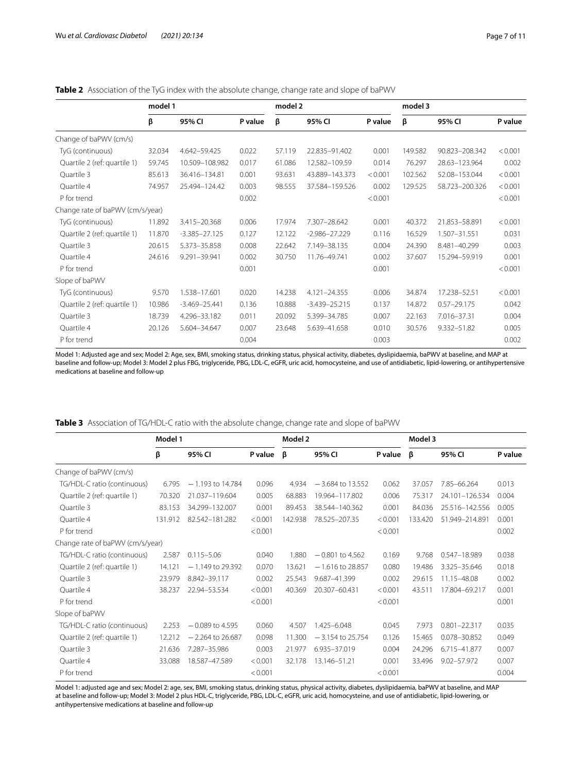<span id="page-6-0"></span>

|                                  | model 1 |                   |         | model 2 |                   |         | model 3 |                 |         |
|----------------------------------|---------|-------------------|---------|---------|-------------------|---------|---------|-----------------|---------|
|                                  | β       | 95% CI            | P value | β       | 95% CI            | P value | β       | 95% CI          | P value |
| Change of baPWV (cm/s)           |         |                   |         |         |                   |         |         |                 |         |
| TyG (continuous)                 | 32.034  | 4.642-59.425      | 0.022   | 57.119  | 22.835-91.402     | 0.001   | 149.582 | 90.823-208.342  | < 0.001 |
| Quartile 2 (ref: quartile 1)     | 59.745  | 10.509-108.982    | 0.017   | 61.086  | 12.582-109.59     | 0.014   | 76.297  | 28.63-123.964   | 0.002   |
| Quartile 3                       | 85.613  | 36.416-134.81     | 0.001   | 93.631  | 43.889-143.373    | < 0.001 | 102.562 | 52.08-153.044   | < 0.001 |
| Quartile 4                       | 74.957  | 25.494-124.42     | 0.003   | 98.555  | 37.584-159.526    | 0.002   | 129.525 | 58.723-200.326  | < 0.001 |
| P for trend                      |         |                   | 0.002   |         |                   | < 0.001 |         |                 | < 0.001 |
| Change rate of baPWV (cm/s/year) |         |                   |         |         |                   |         |         |                 |         |
| TyG (continuous)                 | 11.892  | 3.415-20.368      | 0.006   | 17.974  | 7.307-28.642      | 0.001   | 40.372  | 21.853-58.891   | < 0.001 |
| Quartile 2 (ref: quartile 1)     | 11.870  | $-3.385 - 27.125$ | 0.127   | 12.122  | $-2.986 - 27.229$ | 0.116   | 16.529  | 1.507-31.551    | 0.031   |
| Quartile 3                       | 20.615  | 5.373-35.858      | 0.008   | 22.642  | 7.149-38.135      | 0.004   | 24.390  | 8.481-40.299    | 0.003   |
| Quartile 4                       | 24.616  | 9.291-39.941      | 0.002   | 30.750  | 11.76-49.741      | 0.002   | 37.607  | 15.294-59.919   | 0.001   |
| P for trend                      |         |                   | 0.001   |         |                   | 0.001   |         |                 | < 0.001 |
| Slope of baPWV                   |         |                   |         |         |                   |         |         |                 |         |
| TyG (continuous)                 | 9.570   | 1.538-17.601      | 0.020   | 14.238  | 4.121-24.355      | 0.006   | 34.874  | 17.238-52.51    | < 0.001 |
| Quartile 2 (ref: quartile 1)     | 10.986  | $-3.469 - 25.441$ | 0.136   | 10.888  | $-3.439 - 25.215$ | 0.137   | 14.872  | $0.57 - 29.175$ | 0.042   |
| Quartile 3                       | 18.739  | 4.296-33.182      | 0.011   | 20.092  | 5.399-34.785      | 0.007   | 22.163  | 7.016-37.31     | 0.004   |
| Quartile 4                       | 20.126  | 5.604-34.647      | 0.007   | 23.648  | 5.639-41.658      | 0.010   | 30.576  | 9.332-51.82     | 0.005   |
| P for trend                      |         |                   | 0.004   |         |                   | 0.003   |         |                 | 0.002   |

Model 1: Adjusted age and sex; Model 2: Age, sex, BMI, smoking status, drinking status, physical activity, diabetes, dyslipidaemia, baPWV at baseline, and MAP at baseline and follow-up; Model 3: Model 2 plus FBG, triglyceride, PBG, LDL-C, eGFR, uric acid, homocysteine, and use of antidiabetic, lipid-lowering, or antihypertensive medications at baseline and follow-up

|                                  | Model 1 |                    |         | Model 2 |                    |         | Model 3 |                  |         |
|----------------------------------|---------|--------------------|---------|---------|--------------------|---------|---------|------------------|---------|
|                                  | β       | 95% CI             | P value | ß       | 95% CI             | P value | $\beta$ | 95% CI           | P value |
| Change of baPWV (cm/s)           |         |                    |         |         |                    |         |         |                  |         |
| TG/HDL-C ratio (continuous)      | 6.795   | $-1.193$ to 14.784 | 0.096   | 4.934   | $-3.684$ to 13.552 | 0.062   | 37.057  | 7.85-66.264      | 0.013   |
| Quartile 2 (ref: quartile 1)     | 70.320  | 21.037-119.604     | 0.005   | 68.883  | 19.964-117.802     | 0.006   | 75.317  | 24.101-126.534   | 0.004   |
| Quartile 3                       | 83.153  | 34.299-132.007     | 0.001   | 89.453  | 38.544-140.362     | 0.001   | 84.036  | 25.516-142.556   | 0.005   |
| Quartile 4                       | 131.912 | 82.542-181.282     | < 0.001 | 142.938 | 78.525-207.35      | < 0.001 | 133.420 | 51.949-214.891   | 0.001   |
| P for trend                      |         |                    | < 0.001 |         |                    | < 0.001 |         |                  | 0.002   |
| Change rate of baPWV (cm/s/year) |         |                    |         |         |                    |         |         |                  |         |
| TG/HDL-C ratio (continuous)      | 2.587   | $0.115 - 5.06$     | 0.040   | 1.880   | $-0.801$ to 4.562  | 0.169   | 9.768   | 0.547-18.989     | 0.038   |
| Quartile 2 (ref: quartile 1)     | 14.121  | $-1.149$ to 29.392 | 0.070   | 13.621  | $-1.616$ to 28.857 | 0.080   | 19.486  | 3.325-35.646     | 0.018   |
| Quartile 3                       | 23.979  | 8.842-39.117       | 0.002   | 25.543  | 9.687-41.399       | 0.002   | 29.615  | 11.15-48.08      | 0.002   |
| Quartile 4                       | 38.237  | 22.94-53.534       | < 0.001 | 40.369  | 20.307-60.431      | < 0.001 | 43.511  | 17.804-69.217    | 0.001   |
| P for trend                      |         |                    | < 0.001 |         |                    | < 0.001 |         |                  | 0.001   |
| Slope of baPWV                   |         |                    |         |         |                    |         |         |                  |         |
| TG/HDL-C ratio (continuous)      | 2.253   | $-0.089$ to 4.595  | 0.060   | 4.507   | 1.425-6.048        | 0.045   | 7.973   | $0.801 - 22.317$ | 0.035   |
| Quartile 2 (ref: quartile 1)     | 12.212  | $-2.264$ to 26.687 | 0.098   | 11.300  | $-3.154$ to 25.754 | 0.126   | 15.465  | 0.078-30.852     | 0.049   |
| Quartile 3                       | 21.636  | 7.287-35.986       | 0.003   | 21.977  | 6.935-37.019       | 0.004   | 24.296  | 6.715-41.877     | 0.007   |
| Quartile 4                       | 33.088  | 18.587-47.589      | < 0.001 | 32.178  | 13.146-51.21       | 0.001   | 33.496  | 9.02-57.972      | 0.007   |
| P for trend                      |         |                    | < 0.001 |         |                    | < 0.001 |         |                  | 0.004   |

<span id="page-6-1"></span>**Table 3** Association of TG/HDL-C ratio with the absolute change, change rate and slope of baPWV

Model 1: adjusted age and sex; Model 2: age, sex, BMI, smoking status, drinking status, physical activity, diabetes, dyslipidaemia, baPWV at baseline, and MAP at baseline and follow-up; Model 3: Model 2 plus HDL-C, triglyceride, PBG, LDL-C, eGFR, uric acid, homocysteine, and use of antidiabetic, lipid-lowering, or antihypertensive medications at baseline and follow-up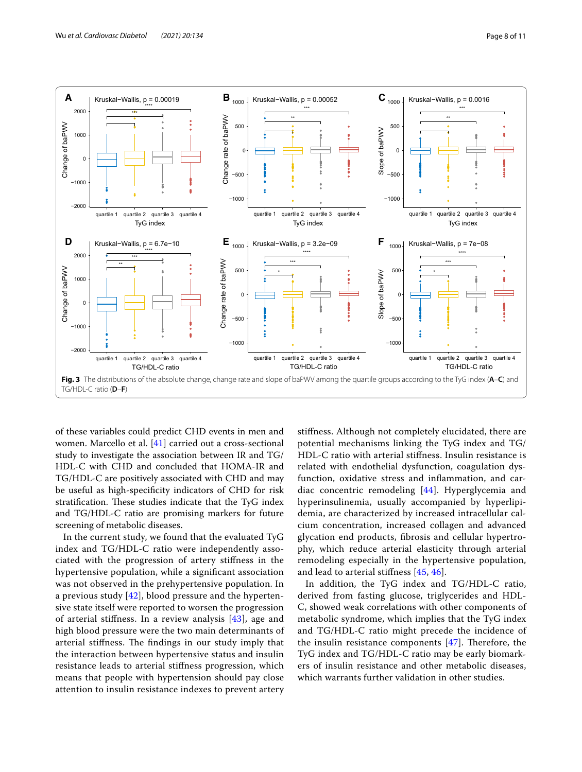

<span id="page-7-0"></span>of these variables could predict CHD events in men and women. Marcello et al. [\[41](#page-10-16)] carried out a cross-sectional study to investigate the association between IR and TG/ HDL-C with CHD and concluded that HOMA-IR and TG/HDL-C are positively associated with CHD and may be useful as high-specifcity indicators of CHD for risk stratification. These studies indicate that the TyG index and TG/HDL-C ratio are promising markers for future screening of metabolic diseases.

In the current study, we found that the evaluated TyG index and TG/HDL-C ratio were independently associated with the progression of artery stifness in the hypertensive population, while a signifcant association was not observed in the prehypertensive population. In a previous study [\[42\]](#page-10-17), blood pressure and the hypertensive state itself were reported to worsen the progression of arterial stifness. In a review analysis [\[43\]](#page-10-18), age and high blood pressure were the two main determinants of arterial stiffness. The findings in our study imply that the interaction between hypertensive status and insulin resistance leads to arterial stifness progression, which means that people with hypertension should pay close attention to insulin resistance indexes to prevent artery

stifness. Although not completely elucidated, there are potential mechanisms linking the TyG index and TG/ HDL-C ratio with arterial stifness. Insulin resistance is related with endothelial dysfunction, coagulation dysfunction, oxidative stress and infammation, and cardiac concentric remodeling [[44\]](#page-10-19). Hyperglycemia and hyperinsulinemia, usually accompanied by hyperlipidemia, are characterized by increased intracellular calcium concentration, increased collagen and advanced glycation end products, fbrosis and cellular hypertrophy, which reduce arterial elasticity through arterial remodeling especially in the hypertensive population, and lead to arterial stifness [[45,](#page-10-20) [46\]](#page-10-21).

In addition, the TyG index and TG/HDL-C ratio, derived from fasting glucose, triglycerides and HDL-C, showed weak correlations with other components of metabolic syndrome, which implies that the TyG index and TG/HDL-C ratio might precede the incidence of the insulin resistance components  $[47]$  $[47]$  $[47]$ . Therefore, the TyG index and TG/HDL-C ratio may be early biomarkers of insulin resistance and other metabolic diseases, which warrants further validation in other studies.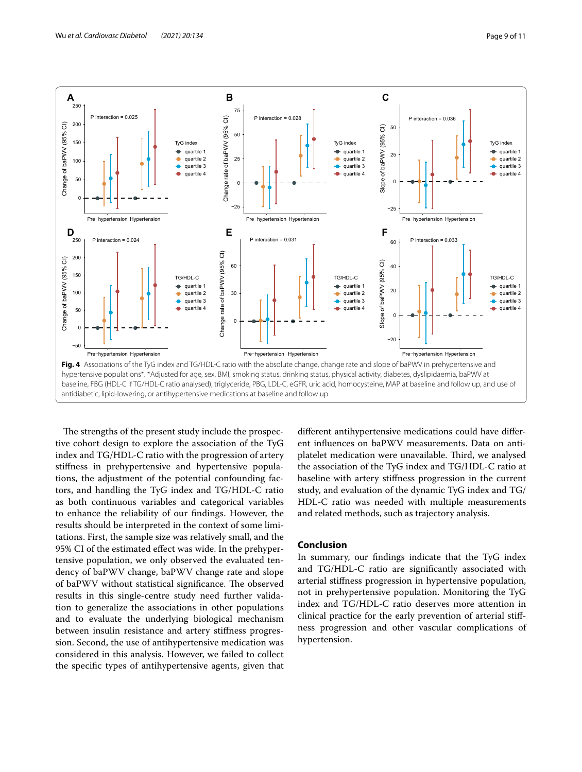

<span id="page-8-0"></span>The strengths of the present study include the prospective cohort design to explore the association of the TyG index and TG/HDL-C ratio with the progression of artery stifness in prehypertensive and hypertensive populations, the adjustment of the potential confounding factors, and handling the TyG index and TG/HDL-C ratio as both continuous variables and categorical variables to enhance the reliability of our fndings. However, the results should be interpreted in the context of some limitations. First, the sample size was relatively small, and the 95% CI of the estimated efect was wide. In the prehypertensive population, we only observed the evaluated tendency of baPWV change, baPWV change rate and slope of baPWV without statistical significance. The observed results in this single-centre study need further validation to generalize the associations in other populations and to evaluate the underlying biological mechanism between insulin resistance and artery stifness progression. Second, the use of antihypertensive medication was considered in this analysis. However, we failed to collect the specifc types of antihypertensive agents, given that

diferent antihypertensive medications could have diferent infuences on baPWV measurements. Data on antiplatelet medication were unavailable. Third, we analysed the association of the TyG index and TG/HDL-C ratio at baseline with artery stifness progression in the current study, and evaluation of the dynamic TyG index and TG/ HDL-C ratio was needed with multiple measurements and related methods, such as trajectory analysis.

## **Conclusion**

In summary, our fndings indicate that the TyG index and TG/HDL-C ratio are signifcantly associated with arterial stifness progression in hypertensive population, not in prehypertensive population. Monitoring the TyG index and TG/HDL-C ratio deserves more attention in clinical practice for the early prevention of arterial stifness progression and other vascular complications of hypertension.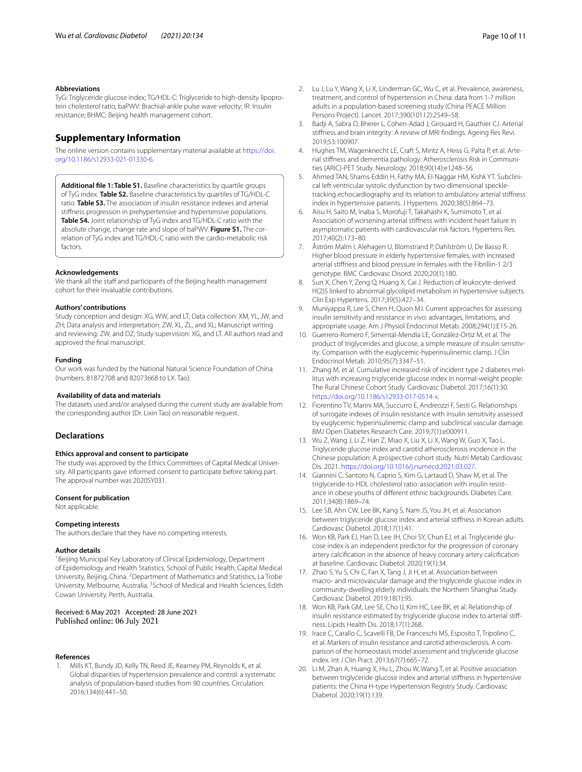#### **Abbreviations**

TyG: Triglyceride glucose index; TG/HDL-C: Triglyceride to high-density lipoprotein cholesterol ratio; baPWV: Brachial-ankle pulse wave velocity; IR: Insulin resistance; BHMC: Beijing health management cohort.

## **Supplementary Information**

The online version contains supplementary material available at [https://doi.](https://doi.org/10.1186/s12933-021-01330-6) [org/10.1186/s12933-021-01330-6](https://doi.org/10.1186/s12933-021-01330-6).

<span id="page-9-15"></span>**Additional fle 1: Table S1.** Baseline characteristics by quartile groups of TyG index. **Table S2.** Baseline characteristics by quartiles of TG/HDL-C ratio. **Table S3.** The association of insulin resistance indexes and arterial stifness progression in prehypertensive and hypertensive populations. **Table S4.** Joint relationship of TyG index and TG/HDL-C ratio with the absolute change, change rate and slope of baPWV. **Figure S1.** The correlation of TyG index and TG/HDL-C ratio with the cardio-metabolic risk factors.

#### **Acknowledgements**

We thank all the staff and participants of the Beijing health management cohort for their invaluable contributions.

#### **Authors' contributions**

Study conception and design: XG, WW, and LT; Data collection: XM, YL, JW, and ZH; Data analysis and interpretation: ZW, XL, ZL, and XL; Manuscript writing and reviewing: ZW, and DZ; Study supervision: XG, and LT. All authors read and approved the fnal manuscript.

## **Funding**

Our work was funded by the National Natural Science Foundation of China (numbers: 81872708 and 82073668 to LX. Tao).

#### **Availability of data and materials**

The datasets used and/or analysed during the current study are available from the corresponding author (Dr. Lixin Tao) on reasonable request.

## **Declarations**

## **Ethics approval and consent to participate**

The study was approved by the Ethics Committees of Capital Medical University. All participants gave informed consent to participate before taking part. The approval number was 2020SY031.

#### **Consent for publication**

Not applicable.

#### **Competing interests**

The authors declare that they have no competing interests.

#### **Author details**

<sup>1</sup> Beijing Municipal Key Laboratory of Clinical Epidemiology, Department of Epidemiology and Health Statistics, School of Public Health, Capital Medical University, Beijing, China. <sup>2</sup> Department of Mathematics and Statistics, La Trobe University, Melbourne, Australia. <sup>3</sup> School of Medical and Health Sciences, Edith Cowan University, Perth, Australia.

Received: 6 May 2021 Accepted: 28 June 2021<br>Published online: 06 July 2021

#### **References**

<span id="page-9-0"></span>1. Mills KT, Bundy JD, Kelly TN, Reed JE, Kearney PM, Reynolds K, et al. Global disparities of hypertension prevalence and control: a systematic analysis of population-based studies from 90 countries. Circulation. 2016;134(6):441–50.

- <span id="page-9-1"></span>2. Lu J, Lu Y, Wang X, Li X, Linderman GC, Wu C, et al. Prevalence, awareness, treatment, and control of hypertension in China: data from 1·7 million adults in a population-based screening study (China PEACE Million Persons Project). Lancet. 2017;390(10112):2549–58.
- <span id="page-9-2"></span>3. Badji A, Sabra D, Bherer L, Cohen-Adad J, Girouard H, Gauthier CJ. Arterial stifness and brain integrity: A review of MRI fndings. Ageing Res Revi. 2019;53:100907.
- <span id="page-9-3"></span>4. Hughes TM, Wagenknecht LE, Craft S, Mintz A, Heiss G, Palta P, et al. Arterial stifness and dementia pathology: Atherosclerosis Risk in Communities (ARIC)-PET Study. Neurology. 2018;90(14):e1248–56.
- <span id="page-9-4"></span>5. Ahmed TAN, Shams-Eddin H, Fathy MA, El-Naggar HM, Kishk YT. Subclinical left ventricular systolic dysfunction by two-dimensional speckletracking echocardiography and its relation to ambulatory arterial stifness index in hypertensive patients. J Hypertens. 2020;38(5):864–73.
- 6. Aisu H, Saito M, Inaba S, Morofuji T, Takahashi K, Sumimoto T, et al. Association of worsening arterial stifness with incident heart failure in asymptomatic patients with cardiovascular risk factors. Hypertens Res. 2017;40(2):173–80.
- <span id="page-9-5"></span>7. Åström Malm I, Alehagen U, Blomstrand P, Dahlström U, De Basso R. Higher blood pressure in elderly hypertensive females, with increased arterial stifness and blood pressure in females with the Fibrillin-1 2/3 genotype. BMC Cardiovasc Disord. 2020;20(1):180.
- <span id="page-9-6"></span>8. Sun X, Chen Y, Zeng Q, Huang X, Cai J. Reduction of leukocyte-derived H(2)S linked to abnormal glycolipid metabolism in hypertensive subjects. Clin Exp Hypertens. 2017;39(5):427–34.
- <span id="page-9-7"></span>9. Muniyappa R, Lee S, Chen H, Quon MJ. Current approaches for assessing insulin sensitivity and resistance in vivo: advantages, limitations, and appropriate usage. Am J Physiol Endocrinol Metab. 2008;294(1):E15-26.
- <span id="page-9-8"></span>10. Guerrero-Romero F, Simental-Mendía LE, González-Ortiz M, et al. The product of triglycerides and glucose, a simple measure of insulin sensitivity. Comparison with the euglycemic-hyperinsulinemic clamp. J Clin Endocrinol Metab. 2010;95(7):3347–51.
- <span id="page-9-9"></span>11. Zhang M, et al. Cumulative increased risk of incident type 2 diabetes mellitus with increasing triglyceride glucose index in normal-weight people: The Rural Chinese Cohort Study. Cardiovasc Diabetol. 2017;16(1):30. <https://doi.org/10.1186/s12933-017-0514-x>.
- <span id="page-9-10"></span>12. Fiorentino TV, Marini MA, Succurro E, Andreozzi F, Sesti G. Relationships of surrogate indexes of insulin resistance with insulin sensitivity assessed by euglycemic hyperinsulinemic clamp and subclinical vascular damage. BMJ Open Diabetes Research Care. 2019;7(1):e000911.
- 13. Wu Z, Wang J, Li Z, Han Z, Miao X, Liu X, Li X, Wang W, Guo X, Tao L. Triglyceride glucose index and carotid atherosclerosis incidence in the Chinese population: A prospective cohort study. Nutri Metab Cardiovasc Dis. 2021.<https://doi.org/10.1016/j.numecd.2021.03.027>.
- <span id="page-9-11"></span>14. Giannini C, Santoro N, Caprio S, Kim G, Lartaud D, Shaw M, et al. The triglyceride-to-HDL cholesterol ratio: association with insulin resistance in obese youths of diferent ethnic backgrounds. Diabetes Care. 2011;34(8):1869–74.
- <span id="page-9-12"></span>15. Lee SB, Ahn CW, Lee BK, Kang S, Nam JS, You JH, et al. Association between triglyceride glucose index and arterial stifness in Korean adults. Cardiovasc Diabetol. 2018;17(1):41.
- 16. Won KB, Park EJ, Han D, Lee JH, Choi SY, Chun EJ, et al. Triglyceride glucose index is an independent predictor for the progression of coronary artery calcifcation in the absence of heavy coronary artery calcifcation at baseline. Cardiovasc Diabetol. 2020;19(1):34.
- <span id="page-9-16"></span>17. Zhao S, Yu S, Chi C, Fan X, Tang J, Ji H, et al. Association between macro- and microvascular damage and the triglyceride glucose index in community-dwelling elderly individuals: the Northern Shanghai Study. Cardiovasc Diabetol. 2019;18(1):95.
- 18. Won KB, Park GM, Lee SE, Cho IJ, Kim HC, Lee BK, et al. Relationship of insulin resistance estimated by triglyceride glucose index to arterial stifness. Lipids Health Dis. 2018;17(1):268.
- <span id="page-9-13"></span>19. Irace C, Carallo C, Scavelli FB, De Franceschi MS, Esposito T, Tripolino C, et al. Markers of insulin resistance and carotid atherosclerosis. A comparison of the homeostasis model assessment and triglyceride glucose index. Int J Clin Pract. 2013;67(7):665–72.
- <span id="page-9-14"></span>20. Li M, Zhan A, Huang X, Hu L, Zhou W, Wang T, et al. Positive association between triglyceride glucose index and arterial stifness in hypertensive patients: the China H-type Hypertension Registry Study. Cardiovasc Diabetol. 2020;19(1):139.